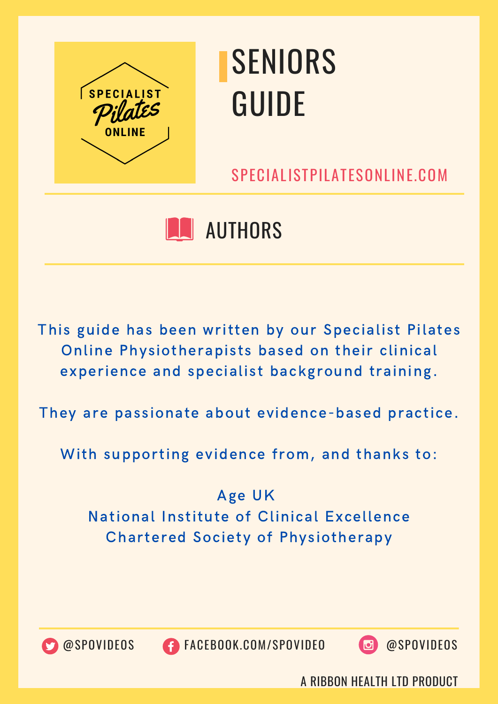

SPECIALISTPILATESONLINE.COM

### **N** AUTHORS

This guide has been written by our Specialist Pilates Online Physiotherapists based on their clinical experience and specialist background training.

They are passionate about evidence-based practice.

With supporting evidence from, and thanks to:

Age UK National Institute of Clinical Excellence Chartered Society of Physiotherapy



@SPOVIDEOS FACEBOOK.COM/SPOVIDEO @SPOVIDEOS

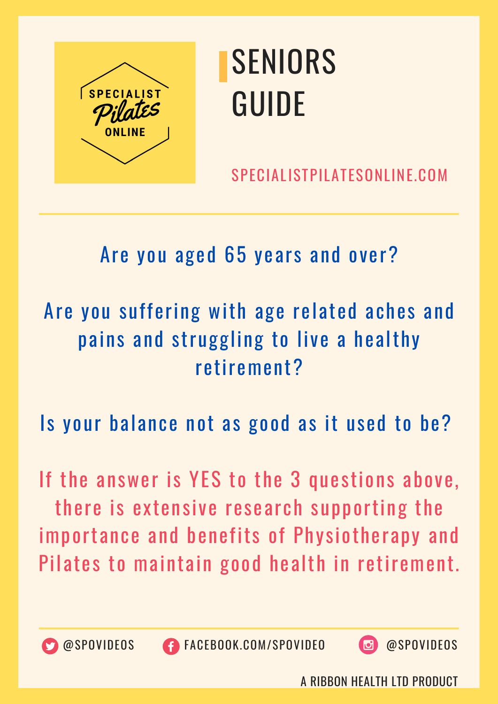

SPECIALISTPILATESONLINE.COM

#### Are you aged 65 years and over?

### Are you suffering with age related aches and pains and struggling to live a healthy retirement?

Is your balance not as good as it used to be?

If the answer is YES to the 3 questions above, there is extensive research supporting the importance and benefits of Physiotherapy and Pilates to maintain good health in retirement.



@SPOVIDEOS FACEBOOK.COM/SPOVIDEO @SPOVIDEOS

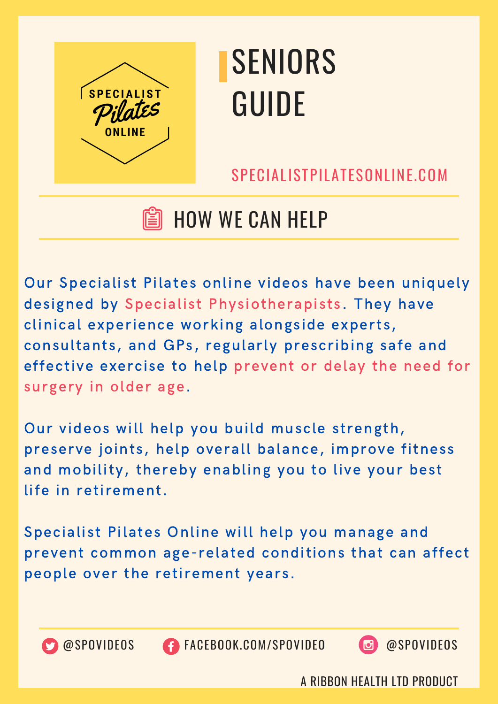

SPECIALISTPILATESONLINE.COM

### HOW WE CAN HELP

Our Specialist Pilates online videos have been uniquely designed by Specialist Physiotherapists. They have clinical experience working alongside experts, consultants, and GPs, regularly prescribing safe and effective exercise to help prevent or delay the need for surgery in older age.

Our videos will help you build muscle strength, preserve joints, help overall balance, improve fitness and mobility, thereby enabling you to live your best life in retirement.

Specialist Pilates Online will help you manage and prevent common age-related conditions that can affect people over the retirement years.



@SPOVIDEOS FACEBOOK.COM/SPOVIDEO @SPOVIDEOS

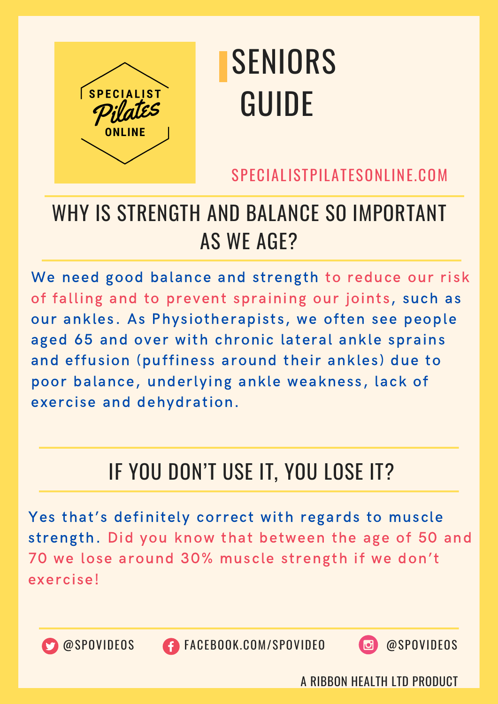

SPECIALISTPILATESONLINE.COM

### WHY IS STRENGTH AND BALANCE SO IMPORTANT AS WE AGE?

We need good balance and strength to reduce our risk of falling and to prevent spraining our joints, such as our ankles. As Physiotherapists, we often see people aged 65 and over with chronic lateral ankle sprains and effusion (puffiness around their ankles) due to poor balance, underlying ankle weakness, lack of exercise and dehydration.

### IF YOU DON'T USE IT, YOU LOSE IT?

Yes that's definitely correct with regards to muscle strength. Did you know that between the age of 50 and 70 we lose around 30% muscle strength if we don't exercise!



@SPOVIDEOS FACEBOOK.COM/SPOVIDEO @SPOVIDEOS

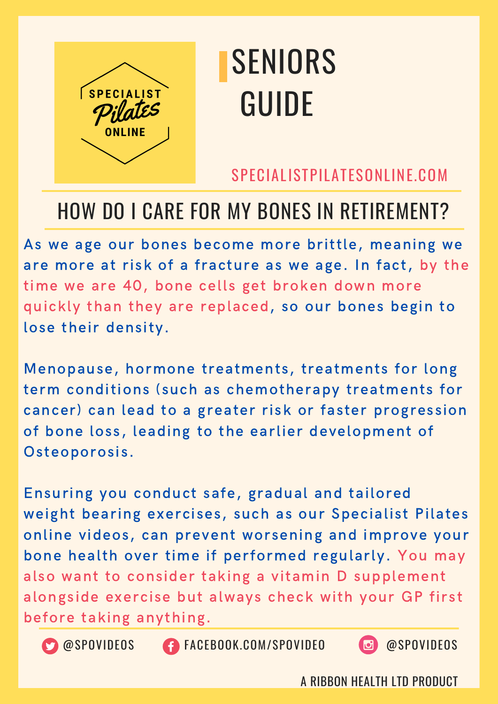

#### SPECIALISTPILATESONLINE.COM

#### HOW DO I CARE FOR MY BONES IN RETIREMENT?

As we age our bones become more brittle, meaning we are more at risk of a fracture as we age. In fact, by the time we are 40, bone cells get broken down more quickly than they are replaced, so our bones begin to lose their density.

Menopause, hormone treatments, treatments for long term conditions (such as chemotherapy treatments for cancer) can lead to a greater risk or faster progression of bone loss, leading to the earlier development of Osteoporosis.

Ensuring you conduct safe, gradual and tailored weight bearing exercises, such as our Specialist Pilates online videos, can prevent worsening and improve your bone health over time if performed regularly. You may also want to consider taking a vitamin D supplement alongside exercise but always check with your GP first before taking anything.





**CO** @SPOVIDEOS **CONGESCITE CON/SPOVIDEO @SPOVIDEOS** 

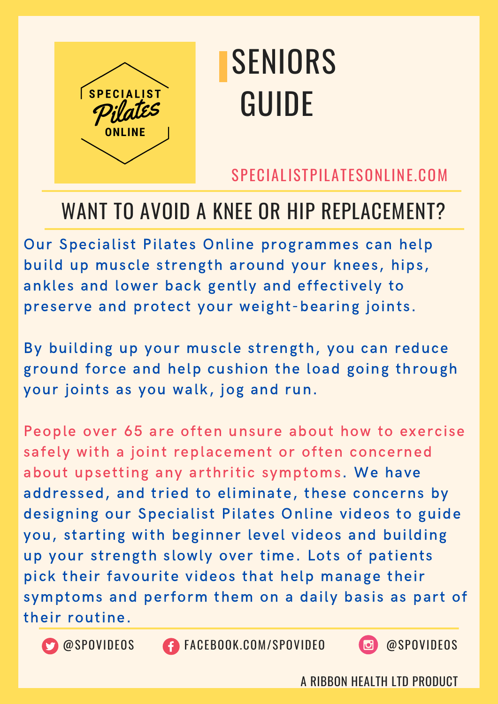

#### SPECIALISTPILATESONLINE.COM

#### WANT TO AVOID A KNEE OR HIP REPLACEMENT?

Our Specialist Pilates Online programmes can help build up muscle strength around your knees, hips, ankles and lower back gently and effectively to preserve and protect your weight-bearing joints.

By building up your muscle strength, you can reduce ground force and help cushion the load going through your joints as you walk, jog and run.

People over 65 are often unsure about how to exercise safely with a joint replacement or often concerned about upsetting any arthritic symptoms. We have addressed, and tried to eliminate, these concerns by designing our Specialist Pilates Online videos to guide you, starting with beginner level videos and building up your strength slowly over time. Lots of patients pick their favourite videos that help manage their symptoms and perform them on a daily basis as part of their routine.



OSPOVIDEOS FACEBOOK.COM/SPOVIDEO @SPOVIDEOS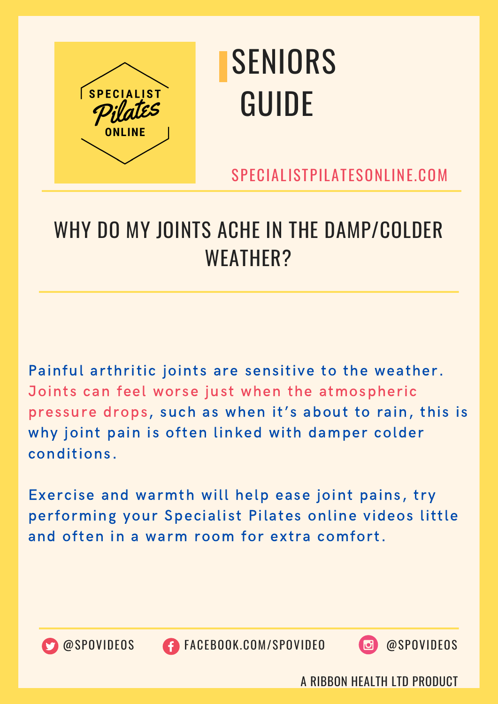

SPECIALISTPILATESONLINE.COM

### WHY DO MY JOINTS ACHE IN THE DAMP/COLDER WEATHER?

Painful arthritic joints are sensitive to the weather. Joints can feel worse just when the atmospheric pressure drops, such as when it's about to rain, this is why joint pain is often linked with damper colder conditions.

Exercise and warmth will help ease joint pains, try performing your Specialist Pilates online videos little and often in a warm room for extra comfort.



@SPOVIDEOS FACEBOOK.COM/SPOVIDEO @SPOVIDEOS

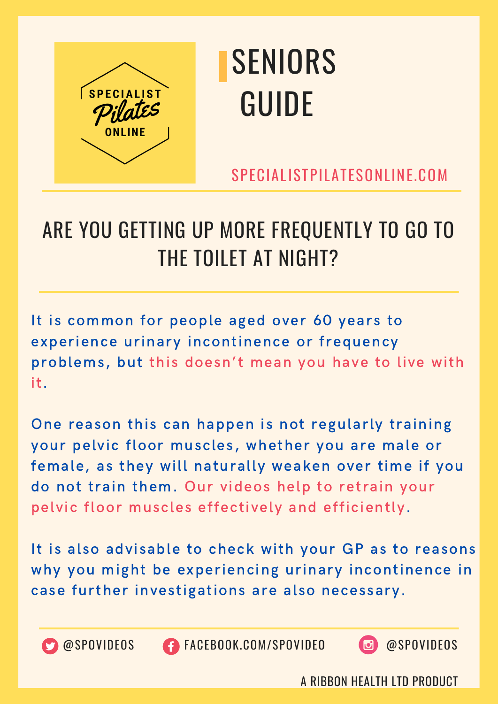

SPECIALISTPILATESONLINE.COM

### ARE YOU GETTING UP MORE FREQUENTLY TO GO TO THE TOILET AT NIGHT?

It is common for people aged over 60 years to experience urinary incontinence or frequency problems, but this doesn't mean you have to live with it.

One reason this can happen is not regularly training your pelvic floor muscles, whether you are male or female, as they will naturally weaken over time if you do not train them. Our videos help to retrain your pelvic floor muscles effectively and efficiently.

It is also advisable to check with your GP as to reasons why you might be experiencing urinary incontinence in case further investigations are also necessary.



@SPOVIDEOS FACEBOOK.COM/SPOVIDEO @SPOVIDEOS